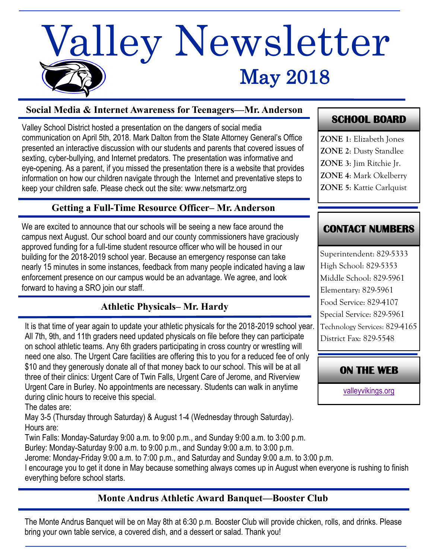# May 2018 Valley Newsletter

#### **Social Media & Internet Awareness for Teenagers—Mr. Anderson**

Valley School District hosted a presentation on the dangers of social media communication on April 5th, 2018. Mark Dalton from the State Attorney General's Office presented an interactive discussion with our students and parents that covered issues of sexting, cyber-bullying, and Internet predators. The presentation was informative and eye-opening. As a parent, if you missed the presentation there is a website that provides information on how our children navigate through the Internet and preventative steps to keep your children safe. Please check out the site: www.netsmartz.org

#### **Getting a Full-Time Resource Officer– Mr. Anderson**

We are excited to announce that our schools will be seeing a new face around the campus next August. Our school board and our county commissioners have graciously approved funding for a full-time student resource officer who will be housed in our building for the 2018-2019 school year. Because an emergency response can take nearly 15 minutes in some instances, feedback from many people indicated having a law enforcement presence on our campus would be an advantage. We agree, and look forward to having a SRO join our staff.

#### **Athletic Physicals– Mr. Hardy**

It is that time of year again to update your athletic physicals for the 2018-2019 school year. All 7th, 9th, and 11th graders need updated physicals on file before they can participate on school athletic teams. Any 6th graders participating in cross country or wrestling will need one also. The Urgent Care facilities are offering this to you for a reduced fee of only \$10 and they generously donate all of that money back to our school. This will be at all three of their clinics: Urgent Care of Twin Falls, Urgent Care of Jerome, and Riverview Urgent Care in Burley. No appointments are necessary. Students can walk in anytime during clinic hours to receive this special.

The dates are:

May 3-5 (Thursday through Saturday) & August 1-4 (Wednesday through Saturday). Hours are:

Twin Falls: Monday-Saturday 9:00 a.m. to 9:00 p.m., and Sunday 9:00 a.m. to 3:00 p.m. Burley: Monday-Saturday 9:00 a.m. to 9:00 p.m., and Sunday 9:00 a.m. to 3:00 p.m.

Jerome: Monday-Friday 9:00 a.m. to 7:00 p.m., and Saturday and Sunday 9:00 a.m. to 3:00 p.m.

I encourage you to get it done in May because something always comes up in August when everyone is rushing to finish everything before school starts.

#### **Monte Andrus Athletic Award Banquet—Booster Club**

The Monte Andrus Banquet will be on May 8th at 6:30 p.m. Booster Club will provide chicken, rolls, and drinks. Please bring your own table service, a covered dish, and a dessert or salad. Thank you!

## **SCHOOL BOARD**

**ZONE 1**: Elizabeth Jones **ZONE 2**: Dusty Standlee **ZONE 3**: Jim Ritchie Jr. **ZONE 4**: Mark Okelberry **ZONE 5**: Kattie Carlquist

## **CONTACT NUMBERS**

Superintendent: 829-5333 High School: 829-5353 Middle School: 829-5961 Elementary: 829-5961 Food Service: 829-4107 Special Service: 829-5961 Technology Services: 829-4165 District Fax: 829-5548

**ON THE WEB** 

[valleyvikings.org](http://www.valleyvikings.org/)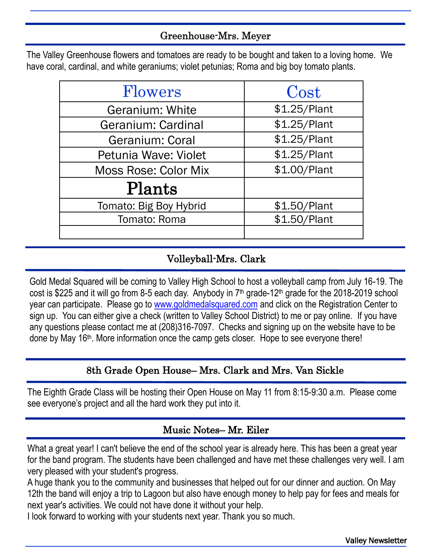### Greenhouse-Mrs. Meyer

The Valley Greenhouse flowers and tomatoes are ready to be bought and taken to a loving home. We have coral, cardinal, and white geraniums; violet petunias; Roma and big boy tomato plants.

| Flowers                     | Cost         |
|-----------------------------|--------------|
| <b>Geranium: White</b>      | \$1.25/Plant |
| Geranium: Cardinal          | \$1.25/Plant |
| Geranium: Coral             | \$1.25/Plant |
| Petunia Wave: Violet        | \$1.25/Plant |
| <b>Moss Rose: Color Mix</b> | \$1.00/Plant |
| Plants                      |              |
| Tomato: Big Boy Hybrid      | \$1.50/Plant |
| Tomato: Roma                | \$1.50/Plant |
|                             |              |

# Volleyball-Mrs. Clark

Gold Medal Squared will be coming to Valley High School to host a volleyball camp from July 16-19. The cost is \$225 and it will go from 8-5 each day. Anybody in 7th grade-12th grade for the 2018-2019 school year can participate. Please go to [www.goldmedalsquared.com](http://www.goldmedalsquared.com) and click on the Registration Center to sign up. You can either give a check (written to Valley School District) to me or pay online. If you have any questions please contact me at (208)316-7097. Checks and signing up on the website have to be done by May 16th. More information once the camp gets closer. Hope to see everyone there!

## 8th Grade Open House– Mrs. Clark and Mrs. Van Sickle

The Eighth Grade Class will be hosting their Open House on May 11 from 8:15-9:30 a.m. Please come see everyone's project and all the hard work they put into it.

## Music Notes– Mr. Eiler

What a great year! I can't believe the end of the school year is already here. This has been a great year for the band program. The students have been challenged and have met these challenges very well. I am very pleased with your student's progress.

A huge thank you to the community and businesses that helped out for our dinner and auction. On May 12th the band will enjoy a trip to Lagoon but also have enough money to help pay for fees and meals for next year's activities. We could not have done it without your help.

I look forward to working with your students next year. Thank you so much.